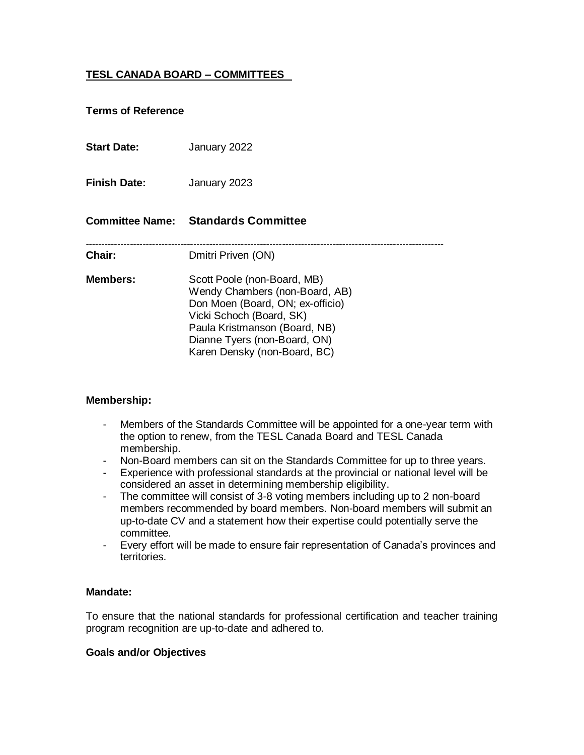# **TESL CANADA BOARD – COMMITTEES**

## **Terms of Reference**

**Start Date:** January 2022 **Finish Date:** January 2023 **Committee Name: Standards Committee** ----------------------------------------------------------------------------------------------------------------- **Chair:** Dmitri Priven (ON) **Members:** Scott Poole (non-Board, MB) Wendy Chambers (non-Board, AB) Don Moen (Board, ON; ex-officio) Vicki Schoch (Board, SK) Paula Kristmanson (Board, NB) Dianne Tyers (non-Board, ON) Karen Densky (non-Board, BC)

## **Membership:**

- Members of the Standards Committee will be appointed for a one-year term with the option to renew, from the TESL Canada Board and TESL Canada membership.
- Non-Board members can sit on the Standards Committee for up to three years.
- Experience with professional standards at the provincial or national level will be considered an asset in determining membership eligibility.
- The committee will consist of 3-8 voting members including up to 2 non-board members recommended by board members. Non-board members will submit an up-to-date CV and a statement how their expertise could potentially serve the committee.
- Every effort will be made to ensure fair representation of Canada's provinces and territories.

#### **Mandate:**

To ensure that the national standards for professional certification and teacher training program recognition are up-to-date and adhered to.

#### **Goals and/or Objectives**